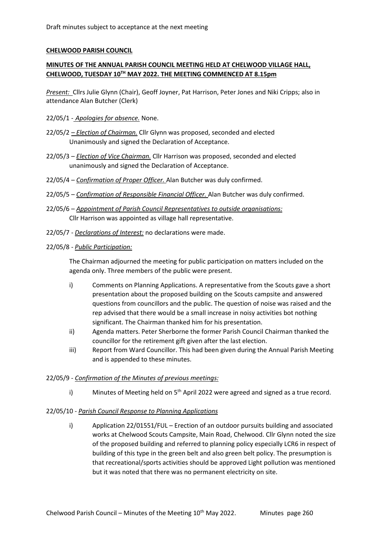## **CHELWOOD PARISH COUNCIL**

# **MINUTES OF THE ANNUAL PARISH COUNCIL MEETING HELD AT CHELWOOD VILLAGE HALL, CHELWOOD, TUESDAY 10TH MAY 2022. THE MEETING COMMENCED AT 8.15pm**

*Present:* Cllrs Julie Glynn (Chair), Geoff Joyner, Pat Harrison, Peter Jones and Niki Cripps; also in attendance Alan Butcher (Clerk)

#### 22/05/1 - *Apologies for absence.* None.

- 22/05/2 *– Election of Chairman.* Cllr Glynn was proposed, seconded and elected Unanimously and signed the Declaration of Acceptance.
- 22/05/3 *Election of Vice Chairman.* Cllr Harrison was proposed, seconded and elected unanimously and signed the Declaration of Acceptance.
- 22/05/4 *Confirmation of Proper Officer.* Alan Butcher was duly confirmed.
- 22/05/5 *Confirmation of Responsible Financial Officer.* Alan Butcher was duly confirmed.
- 22/05/6 *Appointment of Parish Council Representatives to outside organisations:* Cllr Harrison was appointed as village hall representative.
- 22/05/7 *Declarations of Interest:* no declarations were made.
- 22/05/8 *Public Participation:*

The Chairman adjourned the meeting for public participation on matters included on the agenda only. Three members of the public were present.

- i) Comments on Planning Applications. A representative from the Scouts gave a short presentation about the proposed building on the Scouts campsite and answered questions from councillors and the public. The question of noise was raised and the rep advised that there would be a small increase in noisy activities bot nothing significant. The Chairman thanked him for his presentation.
- ii) Agenda matters. Peter Sherborne the former Parish Council Chairman thanked the councillor for the retirement gift given after the last election.
- iii) Report from Ward Councillor. This had been given during the Annual Parish Meeting and is appended to these minutes.

#### 22/05/9 - *Confirmation of the Minutes of previous meetings:*

i) Minutes of Meeting held on  $5<sup>th</sup>$  April 2022 were agreed and signed as a true record.

#### 22/05/10 - *Parish Council Response to Planning Applications*

i) Application 22/01551/FUL – Erection of an outdoor pursuits building and associated works at Chelwood Scouts Campsite, Main Road, Chelwood. Cllr Glynn noted the size of the proposed building and referred to planning policy especially LCR6 in respect of building of this type in the green belt and also green belt policy. The presumption is that recreational/sports activities should be approved Light pollution was mentioned but it was noted that there was no permanent electricity on site.